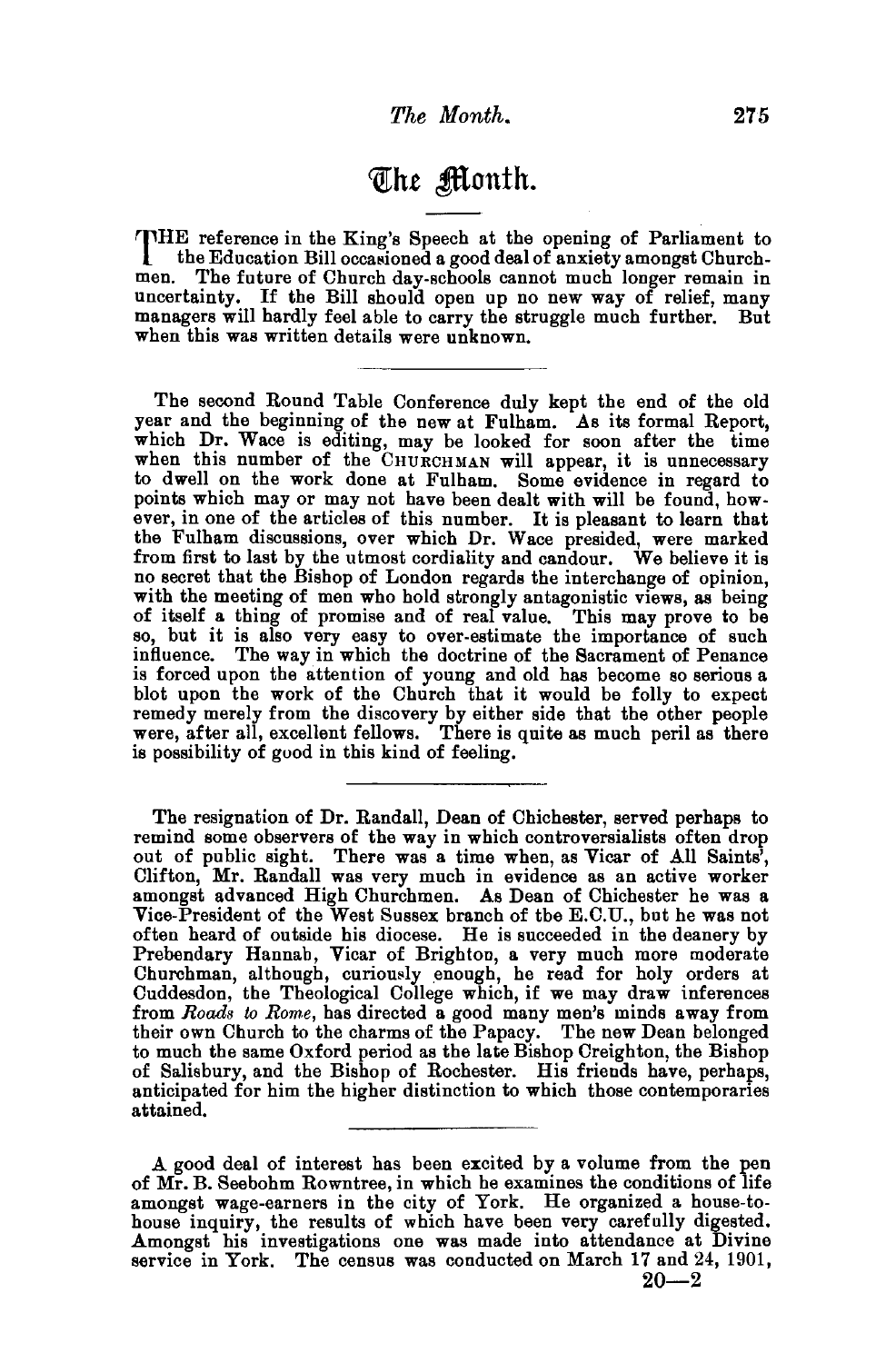## *<Ql:ht* ~onth.

THE reference in the King's Speech at the opening of Parliament to<br>the Education Bill occasioned a good deal of anxiety amongst Church-<br>men. The future of Church day-schools cannot much longer remain in The future of Church day-schools cannot much longer remain in uncertainty. If the Bill should open up no new way of relief, many managers will hardly feel able to carry the struggle much further. But when this was written details were unknown.

The second Round Table Conference duly kept the end of the old year and the beginning of the new at Fulham. As its formal Report, which Dr. Wace is editing, may be looked for soon after the time when this number of the CHURCHMAN will appear, it is unnecessary to dwell on the work done at Fulham. Some evidence in regard to points which may or may not have been dealt with will be found, bowever, in one of the articles of this number. It is pleasant to learn that the Fulham discussions, over which Dr. Wace presided, were marked from first to last by the utmost cordiality and candour. We believe it is no secret that the Bishop of London regards the interchange of opinion, with the meeting of men who hold strongly antagonistic views, as being of itself a thing of promise and of real value. This may prove to be so, but it is also very easy to over-estimate the importance of such influence. The way in which the doctrine of the Sacrament of Penance<br>is forced upon the attention of young and old has become so serious a blot upon the work of the Church that it would be folly to expect remedy merely from the discovery by either side that the other people were, after all, excellent fellows. There is quite as much peril as there is possibility of good in this kind of feeling.

The resignation of Dr. Randall, Dean of Chichester, served perhaps to remind some observers of the way in which controversialists often drop out of public sight. There was a time when, as Vicar of All Saints', Clifton, Mr. Randall was very much in evidence as an active worker amongst advanced High Churchmen. As Dean of Chichester he was a Vice-President of the West Sussex branch of tbe E.C.U., but he was not often heard of outside his diocese. He is succeeded in the deanery by Prebendary Hannah, Vicar of Brighton, a very much more moderate<br>Churchman, although, curiously enough, he read for holy orders at Cuddesdon, the Theological College which, if we may draw inferences from *Roads to Rome*, has directed a good many men's minds away from their own Church to the charms of the Papacy. The new Dean belonged to much the same Oxford period as the late Bishop Creighton, the Bishop of Salisbury, and the Bishop of Rochester. His friends have, perhaps, anticipated for him the higher distinction to which those contemporaries attained.

A good deal of interest has been excited by a volume from the pen of Mr. B. Seebohm Rowntree, in which he examines the conditions of life amongst wage-earners in the city of York. He organized a house-tohouse inquiry, the results of which have been very carefully digested. Amongst his investigations one was made into attendance at Divine service in York. The census was conducted on March 17 and 24, 1901,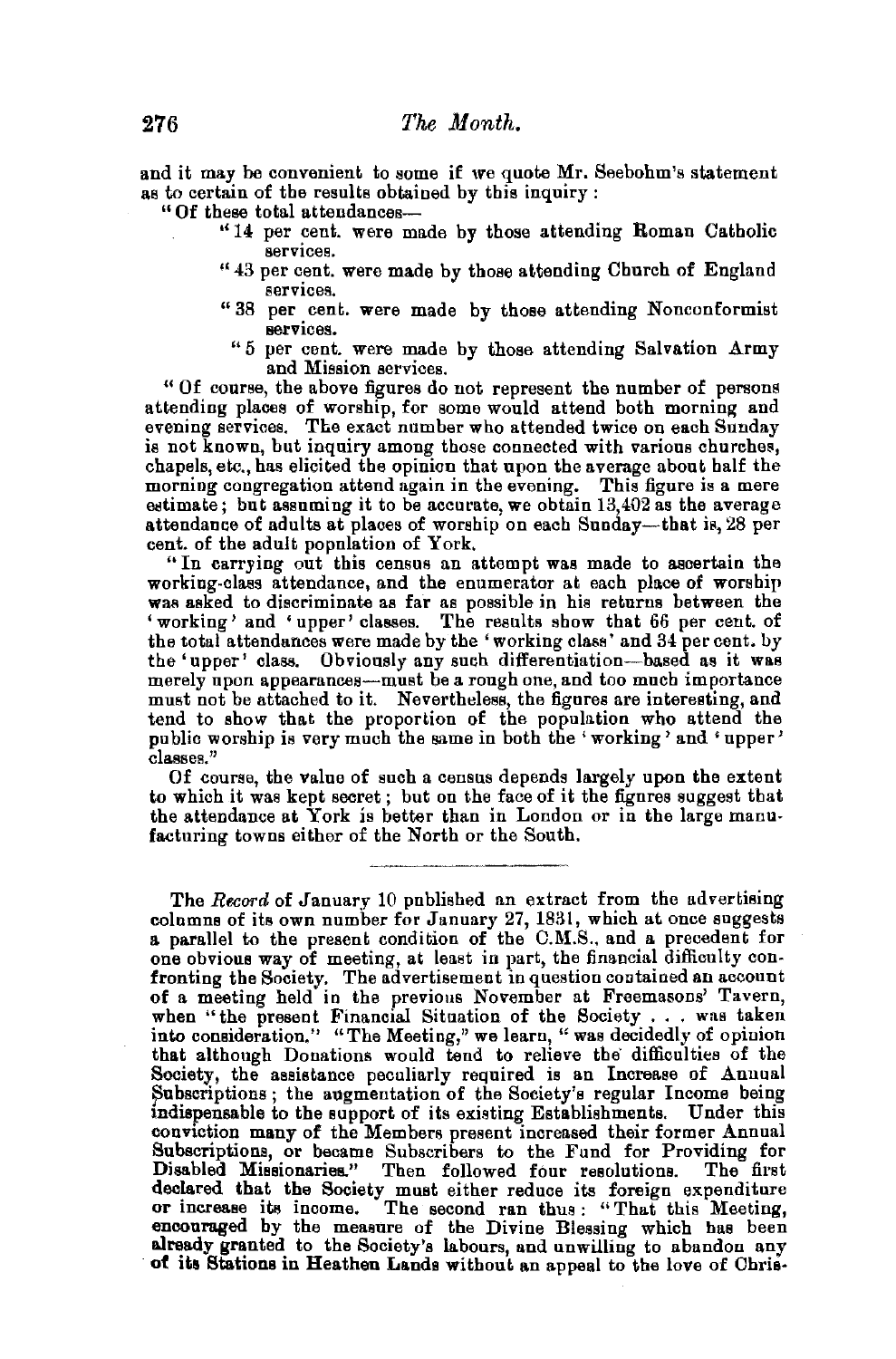and it may be convenient to some if we quote Mr. Seebohm's statement as to certain of the results obtained by this inquiry : "Of these total attendances---

- " 14 per cent. were made by those attending Roman Catholic services.
- "43 per cent. were made by those attending Church of England services.
- "38 per cent. were made by those attending Nonconformist services.
	- "5 per cent. were made by those attending Salvation Army and Mission services.

" Of course, the above figures do not represent the number of persons attending places of worship, for some would attend both morning and evening services. The exact number who attended twice on each Sunday is not known, but inquiry among those connected with various churche8, chapels, etc., has elicited the opinion that upon the average about half the morning congregation attend again in the evening. This figure is a mere estimate; but assuming it to be accurate, we obtain 13,402 as the average. attendance of adults at places of worship on each Sunday-that is, 28 per cent. of the adult population of York.

"In carrying out this census an attempt was made to ascertain the working-class attendance, and the enumerator at each place of worship was asked to discriminate as far as possible in his returns between the 'working' and 'upper' classes. The results show that 66 per cent. of the total attendances were made by the 'working class' and 34 per cent. by the 'upper' class. Obviously any such differentiation—based as it was merely upon appearances--must be a rough one, and too much importance must not be attached to it. Nevertheless, the figures are interesting, and tend to show that the proportion of the population who attend the public worship is very much the same in both the 'working' and 'upper' classes."

Of course, the value of such a census depends largely upon the extent to which it was kept secret; but on the face of it the figures suggest that the attendance at York is better than in London or in the large manu- facturing towns either of the North or the South.

The Record of January 10 published an extract from the advertising columns of its own number for January 27, 1831, which at once suggests a parallel to the present condition of the C.M.S., and a precedent for<br>one obvious way of meeting, at least in part, the financial difficulty con-<br>fronting the Society. The advertisement in question contained an account of a meeting held in the previous November at Freemasons' Tavern, when "the present Financial Situation of the Society ... was taken into consideration." "The Meeting," we learn, " was decidedly of opinion that although Donations would tend to relieve the difficulties of the Society, the assistance peculiarly required is an Increase of Annual Subscriptions; the augmentation of the Society's regular Income being lndispensable to the support of its existing Establishments. Under this conviction many of the Members present increased their former Annual Subscriptions, or became Subscribers to the Fund for Providing for Disabled Missionaries." Then followed four resolutions. The first declared that the Society must either reduce its foreign expenditure or increase its income. The second ran thus : "That this Meeting, encouraged by the measure of the Divine Blessing which has been already granted to the Society's labours, and unwilling to abandon any of its Stations in Heathen Lands without an appeal to the love of Ohris·